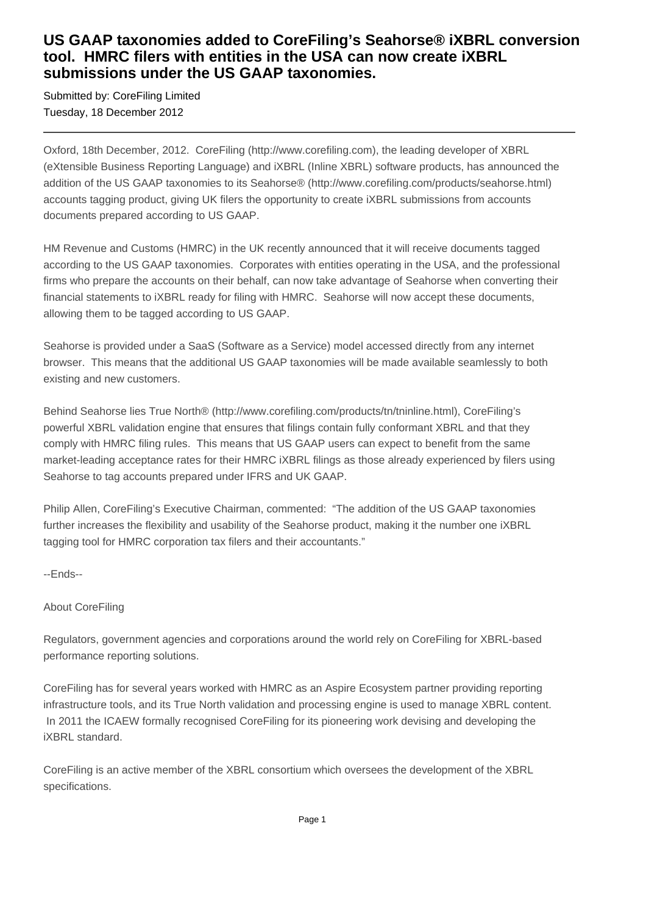## **US GAAP taxonomies added to CoreFiling's Seahorse® iXBRL conversion tool. HMRC filers with entities in the USA can now create iXBRL submissions under the US GAAP taxonomies.**

Submitted by: CoreFiling Limited Tuesday, 18 December 2012

Oxford, 18th December, 2012. CoreFiling (http://www.corefiling.com), the leading developer of XBRL (eXtensible Business Reporting Language) and iXBRL (Inline XBRL) software products, has announced the addition of the US GAAP taxonomies to its Seahorse® (http://www.corefiling.com/products/seahorse.html) accounts tagging product, giving UK filers the opportunity to create iXBRL submissions from accounts documents prepared according to US GAAP.

HM Revenue and Customs (HMRC) in the UK recently announced that it will receive documents tagged according to the US GAAP taxonomies. Corporates with entities operating in the USA, and the professional firms who prepare the accounts on their behalf, can now take advantage of Seahorse when converting their financial statements to iXBRL ready for filing with HMRC. Seahorse will now accept these documents, allowing them to be tagged according to US GAAP.

Seahorse is provided under a SaaS (Software as a Service) model accessed directly from any internet browser. This means that the additional US GAAP taxonomies will be made available seamlessly to both existing and new customers.

Behind Seahorse lies True North® (http://www.corefiling.com/products/tn/tninline.html), CoreFiling's powerful XBRL validation engine that ensures that filings contain fully conformant XBRL and that they comply with HMRC filing rules. This means that US GAAP users can expect to benefit from the same market-leading acceptance rates for their HMRC iXBRL filings as those already experienced by filers using Seahorse to tag accounts prepared under IFRS and UK GAAP.

Philip Allen, CoreFiling's Executive Chairman, commented: "The addition of the US GAAP taxonomies further increases the flexibility and usability of the Seahorse product, making it the number one iXBRL tagging tool for HMRC corporation tax filers and their accountants."

--Ends--

## About CoreFiling

Regulators, government agencies and corporations around the world rely on CoreFiling for XBRL-based performance reporting solutions.

CoreFiling has for several years worked with HMRC as an Aspire Ecosystem partner providing reporting infrastructure tools, and its True North validation and processing engine is used to manage XBRL content. In 2011 the ICAEW formally recognised CoreFiling for its pioneering work devising and developing the iXBRL standard.

CoreFiling is an active member of the XBRL consortium which oversees the development of the XBRL specifications.